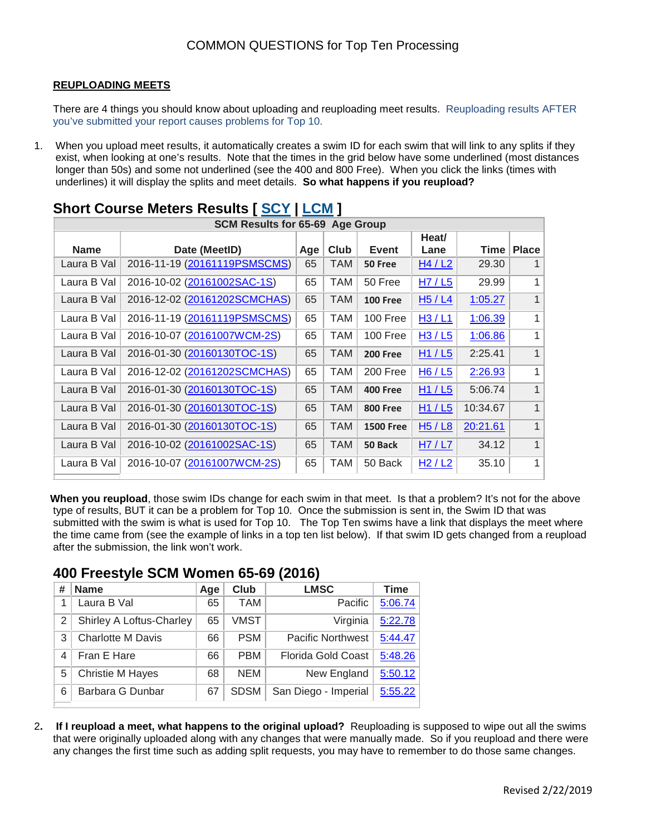#### **REUPLOADING MEETS**

There are 4 things you should know about uploading and reuploading meet results. Reuploading results AFTER you've submitted your report causes problems for Top 10.

1. When you upload meet results, it automatically creates a swim ID for each swim that will link to any splits if they exist, when looking at one's results. Note that the times in the grid below have some underlined (most distances longer than 50s) and some not underlined (see the 400 and 800 Free). When you click the links (times with underlines) it will display the splits and meet details. **So what happens if you reupload?**

| <b>SCM Results for 65-69 Age Group</b> |                              |     |            |                  |       |          |              |  |  |  |  |
|----------------------------------------|------------------------------|-----|------------|------------------|-------|----------|--------------|--|--|--|--|
|                                        |                              |     |            |                  | Heat/ |          |              |  |  |  |  |
| <b>Name</b>                            | Date (MeetID)                | Age | Club       | <b>Event</b>     | Lane  | Time     | <b>Place</b> |  |  |  |  |
| Laura B Val                            | 2016-11-19 (20161119PSMSCMS) | 65  | <b>TAM</b> | 50 Free          | H4/L2 | 29.30    |              |  |  |  |  |
| Laura B Val                            | 2016-10-02 (20161002SAC-1S)  | 65  | <b>TAM</b> | 50 Free          | H7/L5 | 29.99    | 1            |  |  |  |  |
| Laura B Val                            | 2016-12-02 (20161202SCMCHAS) | 65  | <b>TAM</b> | <b>100 Free</b>  | H5/L4 | 1:05.27  | 1            |  |  |  |  |
| Laura B Val                            | 2016-11-19 (20161119PSMSCMS) | 65  | <b>TAM</b> | 100 Free         | H3/L1 | 1:06.39  | 1            |  |  |  |  |
| Laura B Val                            | 2016-10-07 (20161007WCM-2S)  | 65  | TAM        | 100 Free         | H3/L5 | 1:06.86  | 1            |  |  |  |  |
| Laura B Val                            | 2016-01-30 (20160130TOC-1S)  | 65  | <b>TAM</b> | <b>200 Free</b>  | H1/L5 | 2:25.41  | 1            |  |  |  |  |
| Laura B Val                            | 2016-12-02 (20161202SCMCHAS) | 65  | <b>TAM</b> | 200 Free         | H6/L5 | 2:26.93  | 1            |  |  |  |  |
| Laura B Val                            | 2016-01-30 (20160130TOC-1S)  | 65  | <b>TAM</b> | <b>400 Free</b>  | H1/L5 | 5:06.74  | $\mathbf{1}$ |  |  |  |  |
| Laura B Val                            | 2016-01-30 (20160130TOC-1S)  | 65  | <b>TAM</b> | <b>800 Free</b>  | H1/L5 | 10:34.67 | 1            |  |  |  |  |
| Laura B Val                            | 2016-01-30 (20160130TOC-1S)  | 65  | <b>TAM</b> | <b>1500 Free</b> | H5/L8 | 20:21.61 | $\mathbf{1}$ |  |  |  |  |
| Laura B Val                            | 2016-10-02 (20161002SAC-1S)  | 65  | <b>TAM</b> | 50 Back          | H7/L7 | 34.12    | $\mathbf{1}$ |  |  |  |  |
| Laura B Val                            | 2016-10-07 (20161007WCM-2S)  | 65  | TAM        | 50 Back          | H2/L2 | 35.10    | 1            |  |  |  |  |

# **Short Course Meters Results [ [SCY](http://www.usms.org/comp/meets/indresults.php?SwimmerID=03H9F&Sex=&StrokeID=0&Distance=&CourseID=0&lowage=&highage=#SCY) | [LCM](http://www.usms.org/comp/meets/indresults.php?SwimmerID=03H9F&Sex=&StrokeID=0&Distance=&CourseID=0&lowage=&highage=#LCM) ]**

**When you reupload**, those swim IDs change for each swim in that meet. Is that a problem? It's not for the above type of results, BUT it can be a problem for Top 10. Once the submission is sent in, the Swim ID that was submitted with the swim is what is used for Top 10. The Top Ten swims have a link that displays the meet where the time came from (see the example of links in a top ten list below). If that swim ID gets changed from a reupload after the submission, the link won't work.

### **400 Freestyle SCM Women 65-69 (2016)**

| # | <b>Name</b>              | Age | Club        | <b>LMSC</b>               | <b>Time</b> |
|---|--------------------------|-----|-------------|---------------------------|-------------|
|   | Laura B Val              | 65  | <b>TAM</b>  | Pacific                   | 5:06.74     |
| 2 | Shirley A Loftus-Charley | 65  | <b>VMST</b> | Virginia                  | 5:22.78     |
| 3 | <b>Charlotte M Davis</b> | 66  | <b>PSM</b>  | <b>Pacific Northwest</b>  | 5:44.47     |
| 4 | Fran E Hare              | 66  | <b>PBM</b>  | <b>Florida Gold Coast</b> | 5:48.26     |
| 5 | <b>Christie M Hayes</b>  | 68  | <b>NEM</b>  | New England               | 5:50.12     |
| 6 | Barbara G Dunbar         | 67  | <b>SDSM</b> | San Diego - Imperial      | 5:55.22     |

2**. If I reupload a meet, what happens to the original upload?** Reuploading is supposed to wipe out all the swims that were originally uploaded along with any changes that were manually made. So if you reupload and there were any changes the first time such as adding split requests, you may have to remember to do those same changes.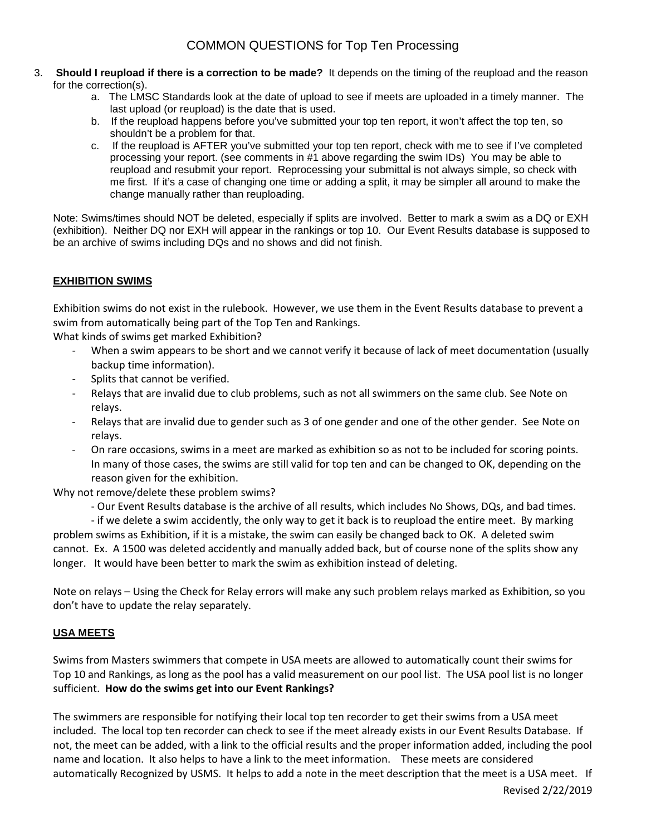- 3. **Should I reupload if there is a correction to be made?** It depends on the timing of the reupload and the reason for the correction(s).
	- a. The LMSC Standards look at the date of upload to see if meets are uploaded in a timely manner. The last upload (or reupload) is the date that is used.
	- b. If the reupload happens before you've submitted your top ten report, it won't affect the top ten, so shouldn't be a problem for that.
	- c. If the reupload is AFTER you've submitted your top ten report, check with me to see if I've completed processing your report. (see comments in #1 above regarding the swim IDs) You may be able to reupload and resubmit your report. Reprocessing your submittal is not always simple, so check with me first. If it's a case of changing one time or adding a split, it may be simpler all around to make the change manually rather than reuploading.

Note: Swims/times should NOT be deleted, especially if splits are involved. Better to mark a swim as a DQ or EXH (exhibition). Neither DQ nor EXH will appear in the rankings or top 10. Our Event Results database is supposed to be an archive of swims including DQs and no shows and did not finish.

### **EXHIBITION SWIMS**

Exhibition swims do not exist in the rulebook. However, we use them in the Event Results database to prevent a swim from automatically being part of the Top Ten and Rankings.

What kinds of swims get marked Exhibition?

- When a swim appears to be short and we cannot verify it because of lack of meet documentation (usually backup time information).
- Splits that cannot be verified.
- Relays that are invalid due to club problems, such as not all swimmers on the same club. See Note on relays.
- Relays that are invalid due to gender such as 3 of one gender and one of the other gender. See Note on relays.
- On rare occasions, swims in a meet are marked as exhibition so as not to be included for scoring points. In many of those cases, the swims are still valid for top ten and can be changed to OK, depending on the reason given for the exhibition.

Why not remove/delete these problem swims?

- Our Event Results database is the archive of all results, which includes No Shows, DQs, and bad times.

- if we delete a swim accidently, the only way to get it back is to reupload the entire meet. By marking problem swims as Exhibition, if it is a mistake, the swim can easily be changed back to OK. A deleted swim cannot. Ex. A 1500 was deleted accidently and manually added back, but of course none of the splits show any longer. It would have been better to mark the swim as exhibition instead of deleting.

Note on relays – Using the Check for Relay errors will make any such problem relays marked as Exhibition, so you don't have to update the relay separately.

### **USA MEETS**

Swims from Masters swimmers that compete in USA meets are allowed to automatically count their swims for Top 10 and Rankings, as long as the pool has a valid measurement on our pool list. The USA pool list is no longer sufficient. **How do the swims get into our Event Rankings?**

The swimmers are responsible for notifying their local top ten recorder to get their swims from a USA meet included. The local top ten recorder can check to see if the meet already exists in our Event Results Database. If not, the meet can be added, with a link to the official results and the proper information added, including the pool name and location. It also helps to have a link to the meet information. These meets are considered automatically Recognized by USMS. It helps to add a note in the meet description that the meet is a USA meet. If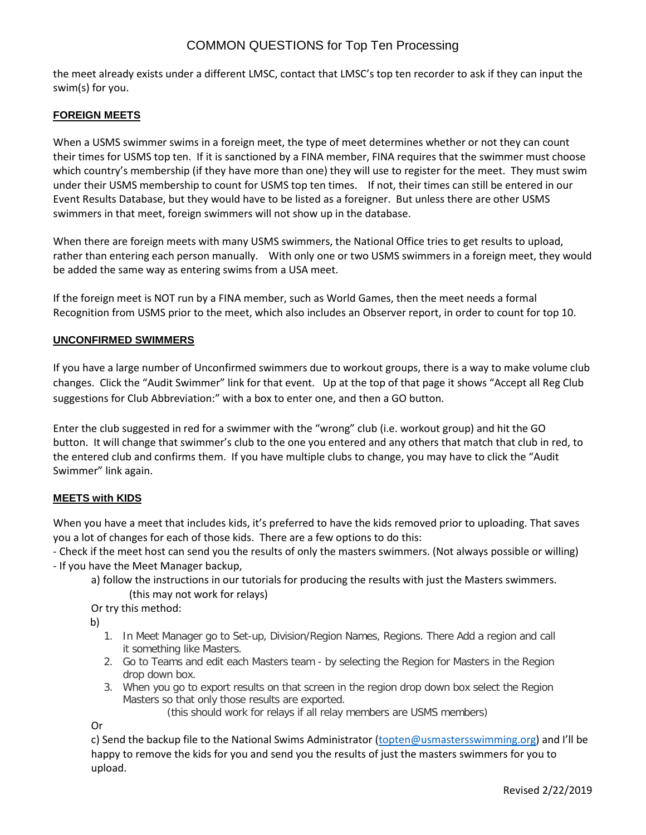### COMMON QUESTIONS for Top Ten Processing

the meet already exists under a different LMSC, contact that LMSC's top ten recorder to ask if they can input the swim(s) for you.

#### **FOREIGN MEETS**

When a USMS swimmer swims in a foreign meet, the type of meet determines whether or not they can count their times for USMS top ten. If it is sanctioned by a FINA member, FINA requires that the swimmer must choose which country's membership (if they have more than one) they will use to register for the meet. They must swim under their USMS membership to count for USMS top ten times. If not, their times can still be entered in our Event Results Database, but they would have to be listed as a foreigner. But unless there are other USMS swimmers in that meet, foreign swimmers will not show up in the database.

When there are foreign meets with many USMS swimmers, the National Office tries to get results to upload, rather than entering each person manually. With only one or two USMS swimmers in a foreign meet, they would be added the same way as entering swims from a USA meet.

If the foreign meet is NOT run by a FINA member, such as World Games, then the meet needs a formal Recognition from USMS prior to the meet, which also includes an Observer report, in order to count for top 10.

#### **UNCONFIRMED SWIMMERS**

If you have a large number of Unconfirmed swimmers due to workout groups, there is a way to make volume club changes. Click the "Audit Swimmer" link for that event. Up at the top of that page it shows "Accept all Reg Club suggestions for Club Abbreviation:" with a box to enter one, and then a GO button.

Enter the club suggested in red for a swimmer with the "wrong" club (i.e. workout group) and hit the GO button. It will change that swimmer's club to the one you entered and any others that match that club in red, to the entered club and confirms them. If you have multiple clubs to change, you may have to click the "Audit Swimmer" link again.

#### **MEETS with KIDS**

When you have a meet that includes kids, it's preferred to have the kids removed prior to uploading. That saves you a lot of changes for each of those kids. There are a few options to do this:

- Check if the meet host can send you the results of only the masters swimmers. (Not always possible or willing) - If you have the Meet Manager backup,

a) follow the instructions in our tutorials for producing the results with just the Masters swimmers. (this may not work for relays)

Or try this method:

b)

- 1. In Meet Manager go to Set-up, Division/Region Names, Regions. There Add a region and call it something like Masters.
- 2. Go to Teams and edit each Masters team by selecting the Region for Masters in the Region drop down box.
- 3. When you go to export results on that screen in the region drop down box select the Region Masters so that only those results are exported.

(this should work for relays if all relay members are USMS members)

Or

c) Send the backup file to the National Swims Administrator [\(topten@usmastersswimming.org](mailto:topten@usmastersswimming.or)) and I'll be happy to remove the kids for you and send you the results of just the masters swimmers for you to upload.